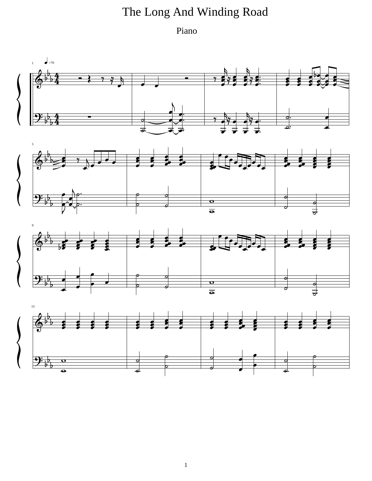## The Long And Winding Road

Piano